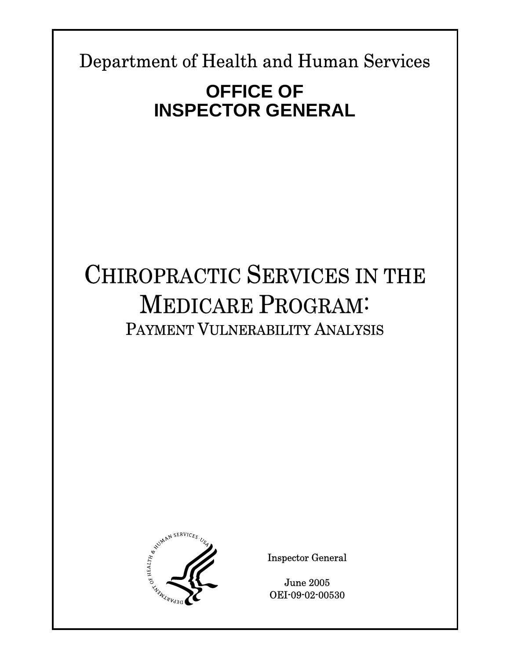Department of Health and Human Services

**Report Template Version = 03-01-05\_rev.07** 

# **OFFICE OF INSPECTOR GENERAL**

# CHIROPRACTIC SERVICES IN THE MEDICARE PROGRAM: PAYMENT VULNERABILITY ANALYSIS



Inspector General

June 2005 OEI-09-02-00530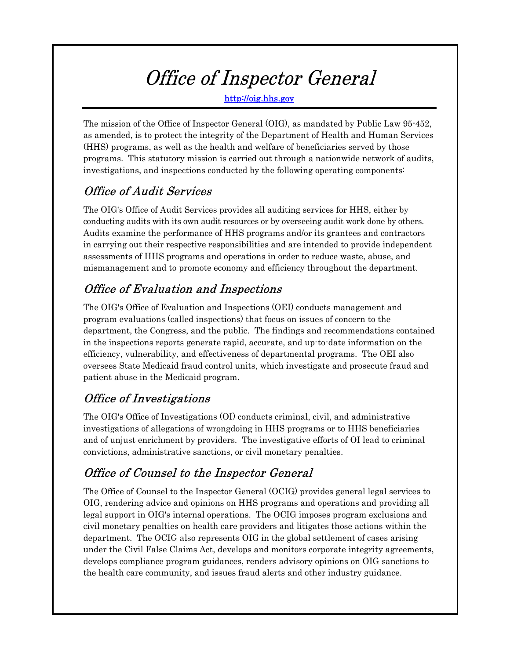# Office of Inspector General

http://oig.hhs.gov

The mission of the Office of Inspector General (OIG), as mandated by Public Law 95-452, as amended, is to protect the integrity of the Department of Health and Human Services (HHS) programs, as well as the health and welfare of beneficiaries served by those programs. This statutory mission is carried out through a nationwide network of audits, investigations, and inspections conducted by the following operating components:

# Office of Audit Services

The OIG's Office of Audit Services provides all auditing services for HHS, either by conducting audits with its own audit resources or by overseeing audit work done by others. Audits examine the performance of HHS programs and/or its grantees and contractors in carrying out their respective responsibilities and are intended to provide independent assessments of HHS programs and operations in order to reduce waste, abuse, and mismanagement and to promote economy and efficiency throughout the department.

# Office of Evaluation and Inspections

The OIG's Office of Evaluation and Inspections (OEI) conducts management and program evaluations (called inspections) that focus on issues of concern to the department, the Congress, and the public. The findings and recommendations contained in the inspections reports generate rapid, accurate, and up-to-date information on the efficiency, vulnerability, and effectiveness of departmental programs. The OEI also oversees State Medicaid fraud control units, which investigate and prosecute fraud and patient abuse in the Medicaid program.

# Office of Investigations

The OIG's Office of Investigations (OI) conducts criminal, civil, and administrative investigations of allegations of wrongdoing in HHS programs or to HHS beneficiaries and of unjust enrichment by providers. The investigative efforts of OI lead to criminal convictions, administrative sanctions, or civil monetary penalties.

# Office of Counsel to the Inspector General

The Office of Counsel to the Inspector General (OCIG) provides general legal services to OIG, rendering advice and opinions on HHS programs and operations and providing all legal support in OIG's internal operations. The OCIG imposes program exclusions and civil monetary penalties on health care providers and litigates those actions within the department. The OCIG also represents OIG in the global settlement of cases arising under the Civil False Claims Act, develops and monitors corporate integrity agreements, develops compliance program guidances, renders advisory opinions on OIG sanctions to the health care community, and issues fraud alerts and other industry guidance.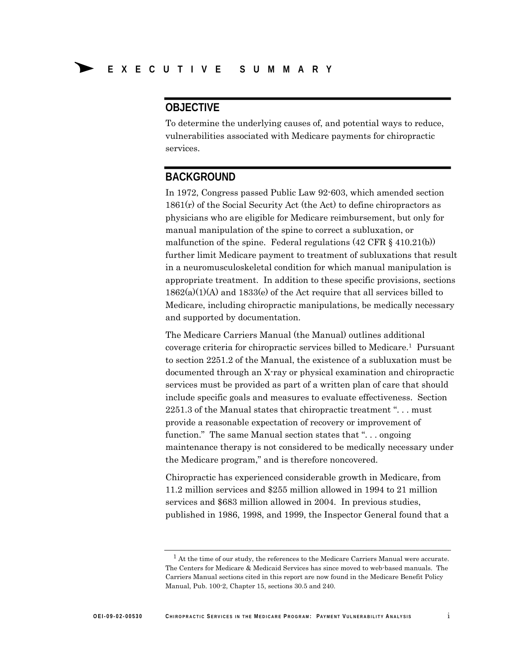# **OBJECTIVE**

To determine the underlying causes of, and potential ways to reduce, vulnerabilities associated with Medicare payments for chiropractic services.

# **BACKGROUND**

In 1972, Congress passed Public Law 92-603, which amended section  $1861(r)$  of the Social Security Act (the Act) to define chiropractors as physicians who are eligible for Medicare reimbursement, but only for manual manipulation of the spine to correct a subluxation, or malfunction of the spine. Federal regulations  $(42 \text{ CFR } \S 410.21(b))$ further limit Medicare payment to treatment of subluxations that result in a neuromusculoskeletal condition for which manual manipulation is appropriate treatment. In addition to these specific provisions, sections 1862(a)(1)(A) and 1833(e) of the Act require that all services billed to Medicare, including chiropractic manipulations, be medically necessary and supported by documentation.

The Medicare Carriers Manual (the Manual) outlines additional coverage criteria for chiropractic services billed to Medicare.1 Pursuant to section 2251.2 of the Manual, the existence of a subluxation must be documented through an X-ray or physical examination and chiropractic services must be provided as part of a written plan of care that should include specific goals and measures to evaluate effectiveness. Section 2251.3 of the Manual states that chiropractic treatment ". . . must provide a reasonable expectation of recovery or improvement of function." The same Manual section states that "... ongoing maintenance therapy is not considered to be medically necessary under the Medicare program," and is therefore noncovered.

Chiropractic has experienced considerable growth in Medicare, from 11.2 million services and \$255 million allowed in 1994 to 21 million services and \$683 million allowed in 2004. In previous studies, published in 1986, 1998, and 1999, the Inspector General found that a

 $<sup>1</sup>$  At the time of our study, the references to the Medicare Carriers Manual were accurate.</sup> The Centers for Medicare & Medicaid Services has since moved to web-based manuals. The Carriers Manual sections cited in this report are now found in the Medicare Benefit Policy Manual, Pub. 100-2, Chapter 15, sections 30.5 and 240.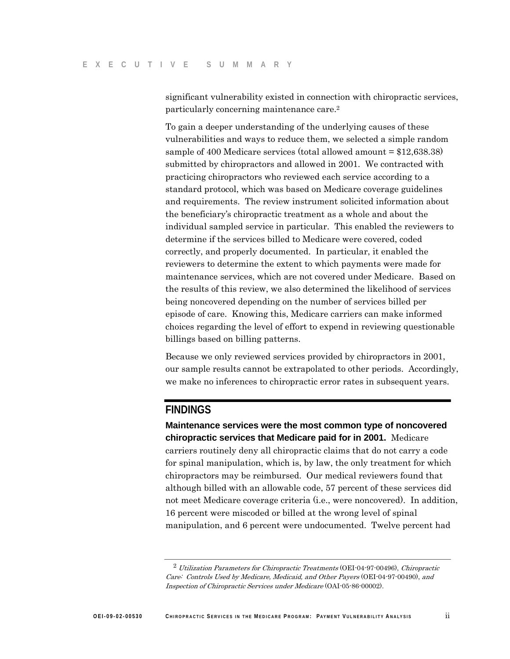significant vulnerability existed in connection with chiropractic services, particularly concerning maintenance care.2

To gain a deeper understanding of the underlying causes of these vulnerabilities and ways to reduce them, we selected a simple random sample of 400 Medicare services (total allowed amount = \$12,638.38) submitted by chiropractors and allowed in 2001. We contracted with practicing chiropractors who reviewed each service according to a standard protocol, which was based on Medicare coverage guidelines and requirements. The review instrument solicited information about the beneficiary's chiropractic treatment as a whole and about the individual sampled service in particular. This enabled the reviewers to determine if the services billed to Medicare were covered, coded correctly, and properly documented. In particular, it enabled the reviewers to determine the extent to which payments were made for maintenance services, which are not covered under Medicare. Based on the results of this review, we also determined the likelihood of services being noncovered depending on the number of services billed per episode of care. Knowing this, Medicare carriers can make informed choices regarding the level of effort to expend in reviewing questionable billings based on billing patterns.

Because we only reviewed services provided by chiropractors in 2001, our sample results cannot be extrapolated to other periods. Accordingly, we make no inferences to chiropractic error rates in subsequent years.

# **FINDINGS**

**Maintenance services were the most common type of noncovered chiropractic services that Medicare paid for in 2001.** Medicare carriers routinely deny all chiropractic claims that do not carry a code for spinal manipulation, which is, by law, the only treatment for which chiropractors may be reimbursed. Our medical reviewers found that although billed with an allowable code, 57 percent of these services did not meet Medicare coverage criteria (i.e., were noncovered). In addition, 16 percent were miscoded or billed at the wrong level of spinal manipulation, and 6 percent were undocumented. Twelve percent had

 $^2$  Utilization Parameters for Chiropractic Treatments (OEI-04-97-00496), Chiropractic Care: Controls Used by Medicare, Medicaid, and Other Payers (OEI-04-97-00490), and Inspection of Chiropractic Services under Medicare (OAI-05-86-00002).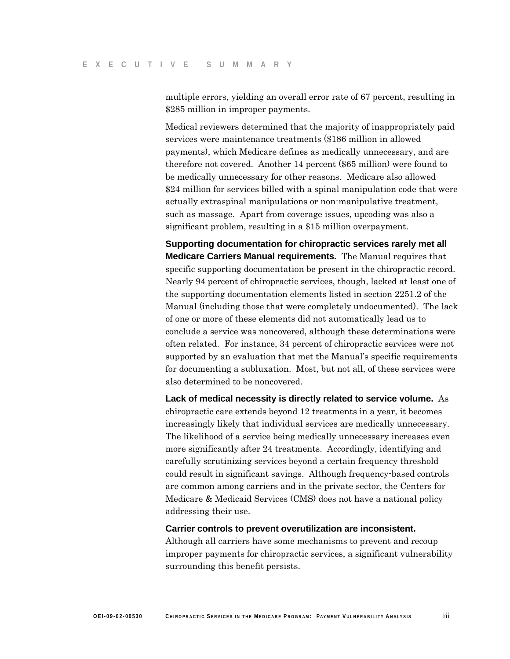multiple errors, yielding an overall error rate of 67 percent, resulting in \$285 million in improper payments.

Medical reviewers determined that the majority of inappropriately paid services were maintenance treatments (\$186 million in allowed payments), which Medicare defines as medically unnecessary, and are therefore not covered. Another 14 percent (\$65 million) were found to be medically unnecessary for other reasons. Medicare also allowed \$24 million for services billed with a spinal manipulation code that were actually extraspinal manipulations or non-manipulative treatment, such as massage. Apart from coverage issues, upcoding was also a significant problem, resulting in a \$15 million overpayment.

**Supporting documentation for chiropractic services rarely met all Medicare Carriers Manual requirements.** The Manual requires that specific supporting documentation be present in the chiropractic record. Nearly 94 percent of chiropractic services, though, lacked at least one of the supporting documentation elements listed in section 2251.2 of the Manual (including those that were completely undocumented). The lack of one or more of these elements did not automatically lead us to conclude a service was noncovered, although these determinations were often related. For instance, 34 percent of chiropractic services were not supported by an evaluation that met the Manual's specific requirements for documenting a subluxation. Most, but not all, of these services were also determined to be noncovered.

**Lack of medical necessity is directly related to service volume.** As chiropractic care extends beyond 12 treatments in a year, it becomes increasingly likely that individual services are medically unnecessary. The likelihood of a service being medically unnecessary increases even more significantly after 24 treatments. Accordingly, identifying and carefully scrutinizing services beyond a certain frequency threshold could result in significant savings. Although frequency-based controls are common among carriers and in the private sector, the Centers for Medicare & Medicaid Services (CMS) does not have a national policy addressing their use.

### **Carrier controls to prevent overutilization are inconsistent.**

Although all carriers have some mechanisms to prevent and recoup improper payments for chiropractic services, a significant vulnerability surrounding this benefit persists.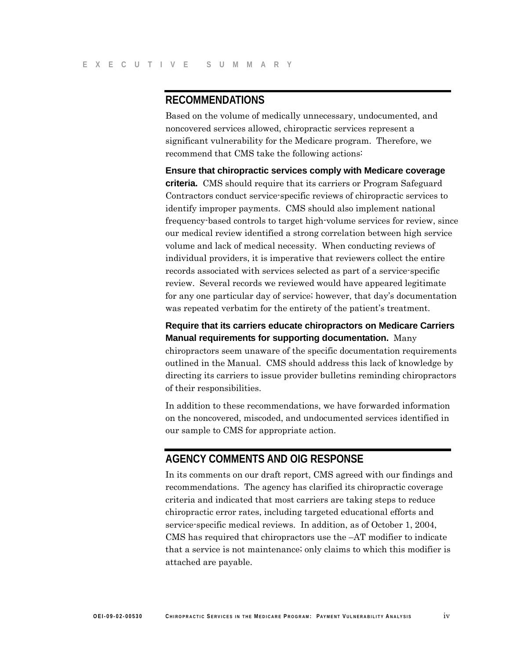# **RECOMMENDATIONS**

Based on the volume of medically unnecessary, undocumented, and noncovered services allowed, chiropractic services represent a significant vulnerability for the Medicare program. Therefore, we recommend that CMS take the following actions:

**Ensure that chiropractic services comply with Medicare coverage criteria.** CMS should require that its carriers or Program Safeguard Contractors conduct service-specific reviews of chiropractic services to identify improper payments. CMS should also implement national frequency-based controls to target high-volume services for review, since our medical review identified a strong correlation between high service volume and lack of medical necessity. When conducting reviews of individual providers, it is imperative that reviewers collect the entire records associated with services selected as part of a service-specific review. Several records we reviewed would have appeared legitimate for any one particular day of service; however, that day's documentation was repeated verbatim for the entirety of the patient's treatment.

**Require that its carriers educate chiropractors on Medicare Carriers Manual requirements for supporting documentation.** Many chiropractors seem unaware of the specific documentation requirements outlined in the Manual. CMS should address this lack of knowledge by directing its carriers to issue provider bulletins reminding chiropractors of their responsibilities.

In addition to these recommendations, we have forwarded information on the noncovered, miscoded, and undocumented services identified in our sample to CMS for appropriate action.

# **AGENCY COMMENTS AND OIG RESPONSE**

In its comments on our draft report, CMS agreed with our findings and recommendations. The agency has clarified its chiropractic coverage criteria and indicated that most carriers are taking steps to reduce chiropractic error rates, including targeted educational efforts and service-specific medical reviews. In addition, as of October 1, 2004, CMS has required that chiropractors use the –AT modifier to indicate that a service is not maintenance; only claims to which this modifier is attached are payable.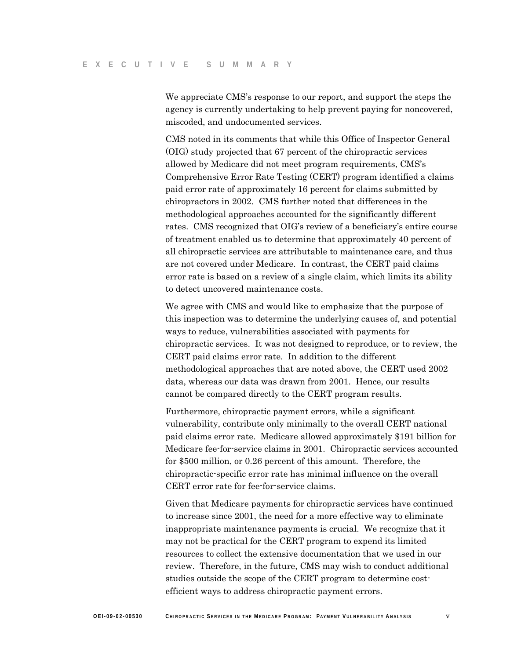We appreciate CMS's response to our report, and support the steps the agency is currently undertaking to help prevent paying for noncovered, miscoded, and undocumented services.

CMS noted in its comments that while this Office of Inspector General (OIG) study projected that 67 percent of the chiropractic services allowed by Medicare did not meet program requirements, CMS's Comprehensive Error Rate Testing (CERT) program identified a claims paid error rate of approximately 16 percent for claims submitted by chiropractors in 2002. CMS further noted that differences in the methodological approaches accounted for the significantly different rates. CMS recognized that OIG's review of a beneficiary's entire course of treatment enabled us to determine that approximately 40 percent of all chiropractic services are attributable to maintenance care, and thus are not covered under Medicare. In contrast, the CERT paid claims error rate is based on a review of a single claim, which limits its ability to detect uncovered maintenance costs.

We agree with CMS and would like to emphasize that the purpose of this inspection was to determine the underlying causes of, and potential ways to reduce, vulnerabilities associated with payments for chiropractic services. It was not designed to reproduce, or to review, the CERT paid claims error rate. In addition to the different methodological approaches that are noted above, the CERT used 2002 data, whereas our data was drawn from 2001. Hence, our results cannot be compared directly to the CERT program results.

Furthermore, chiropractic payment errors, while a significant vulnerability, contribute only minimally to the overall CERT national paid claims error rate. Medicare allowed approximately \$191 billion for Medicare fee-for-service claims in 2001. Chiropractic services accounted for \$500 million, or 0.26 percent of this amount. Therefore, the chiropractic-specific error rate has minimal influence on the overall CERT error rate for fee-for-service claims.

Given that Medicare payments for chiropractic services have continued to increase since 2001, the need for a more effective way to eliminate inappropriate maintenance payments is crucial. We recognize that it may not be practical for the CERT program to expend its limited resources to collect the extensive documentation that we used in our review. Therefore, in the future, CMS may wish to conduct additional studies outside the scope of the CERT program to determine costefficient ways to address chiropractic payment errors.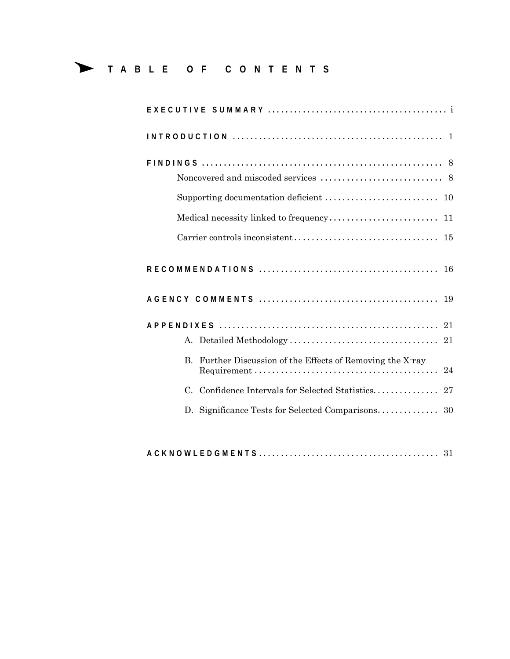# ∆ **T A B L E O F C O N T E N T S**

| 19                                                                                                                                                                    |
|-----------------------------------------------------------------------------------------------------------------------------------------------------------------------|
|                                                                                                                                                                       |
|                                                                                                                                                                       |
| B. Further Discussion of the Effects of Removing the X-ray<br>$Requirement \dots \dots \dots \dots \dots \dots \dots \dots \dots \dots \dots \dots \dots \dots$<br>24 |
|                                                                                                                                                                       |
|                                                                                                                                                                       |
|                                                                                                                                                                       |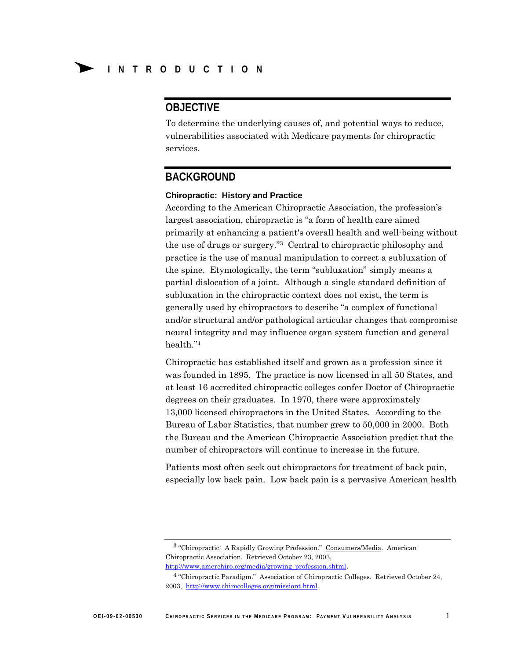# **OBJECTIVE**

To determine the underlying causes of, and potential ways to reduce, vulnerabilities associated with Medicare payments for chiropractic services.

# **BACKGROUND**

### **Chiropractic: History and Practice**

According to the American Chiropractic Association, the profession's largest association, chiropractic is "a form of health care aimed primarily at enhancing a patient's overall health and well-being without the use of drugs or surgery."3 Central to chiropractic philosophy and practice is the use of manual manipulation to correct a subluxation of the spine. Etymologically, the term "subluxation" simply means a partial dislocation of a joint. Although a single standard definition of subluxation in the chiropractic context does not exist, the term is generally used by chiropractors to describe "a complex of functional and/or structural and/or pathological articular changes that compromise neural integrity and may influence organ system function and general health."4

Chiropractic has established itself and grown as a profession since it was founded in 1895. The practice is now licensed in all 50 States, and at least 16 accredited chiropractic colleges confer Doctor of Chiropractic degrees on their graduates. In 1970, there were approximately 13,000 licensed chiropractors in the United States. According to the Bureau of Labor Statistics, that number grew to 50,000 in 2000. Both the Bureau and the American Chiropractic Association predict that the number of chiropractors will continue to increase in the future.

Patients most often seek out chiropractors for treatment of back pain, especially low back pain. Low back pain is a pervasive American health

<sup>&</sup>lt;sup>3</sup> "Chiropractic: A Rapidly Growing Profession." Consumers/Media. American Chiropractic Association. Retrieved October 23, 2003,

http://www.amerchiro.org/media/growing\_profession.shtml. 4 "Chiropractic Paradigm." Association of Chiropractic Colleges. Retrieved October 24, 2003, http://www.chirocolleges.org/missiont.html.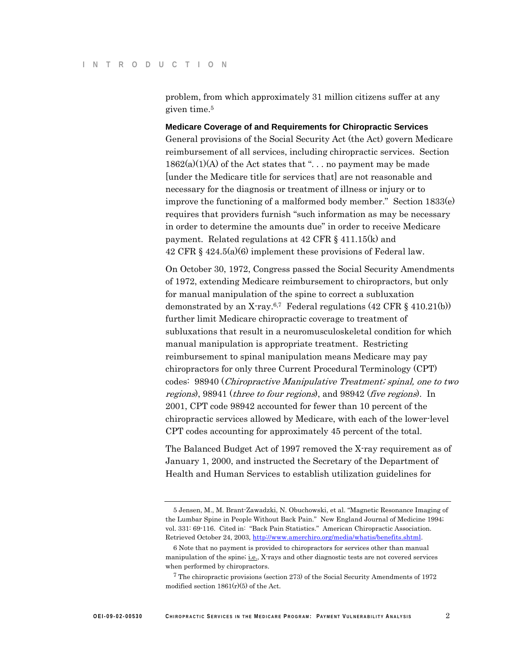problem, from which approximately 31 million citizens suffer at any given time.5

**Medicare Coverage of and Requirements for Chiropractic Services**  General provisions of the Social Security Act (the Act) govern Medicare reimbursement of all services, including chiropractic services. Section  $1862(a)(1)(A)$  of the Act states that "... no payment may be made [under the Medicare title for services that] are not reasonable and necessary for the diagnosis or treatment of illness or injury or to improve the functioning of a malformed body member." Section 1833(e) requires that providers furnish "such information as may be necessary in order to determine the amounts due" in order to receive Medicare payment. Related regulations at 42 CFR § 411.15(k) and 42 CFR § 424.5(a)(6) implement these provisions of Federal law.

On October 30, 1972, Congress passed the Social Security Amendments of 1972, extending Medicare reimbursement to chiropractors, but only for manual manipulation of the spine to correct a subluxation demonstrated by an X-ray.<sup>6,7</sup> Federal regulations  $(42 \text{ CFR} \text{ § } 410.21 \text{ (b)})$ further limit Medicare chiropractic coverage to treatment of subluxations that result in a neuromusculoskeletal condition for which manual manipulation is appropriate treatment. Restricting reimbursement to spinal manipulation means Medicare may pay chiropractors for only three Current Procedural Terminology (CPT) codes: 98940 (Chiropractive Manipulative Treatment; spinal, one to two regions), 98941 (three to four regions), and 98942 (five regions). In 2001, CPT code 98942 accounted for fewer than 10 percent of the chiropractic services allowed by Medicare, with each of the lower-level CPT codes accounting for approximately 45 percent of the total.

The Balanced Budget Act of 1997 removed the X-ray requirement as of January 1, 2000, and instructed the Secretary of the Department of Health and Human Services to establish utilization guidelines for

<sup>5</sup> Jensen, M., M. Brant-Zawadzki, N. Obuchowski, et al. "Magnetic Resonance Imaging of the Lumbar Spine in People Without Back Pain." New England Journal of Medicine 1994; vol. 331: 69-116. Cited in: "Back Pain Statistics." American Chiropractic Association. Retrieved October 24, 2003, http://www.amerchiro.org/media/whatis/benefits.shtml.

<sup>6</sup> Note that no payment is provided to chiropractors for services other than manual manipulation of the spine; i.e., X-rays and other diagnostic tests are not covered services when performed by chiropractors.

<sup>7</sup> The chiropractic provisions (section 273) of the Social Security Amendments of 1972 modified section  $1861(r)(5)$  of the Act.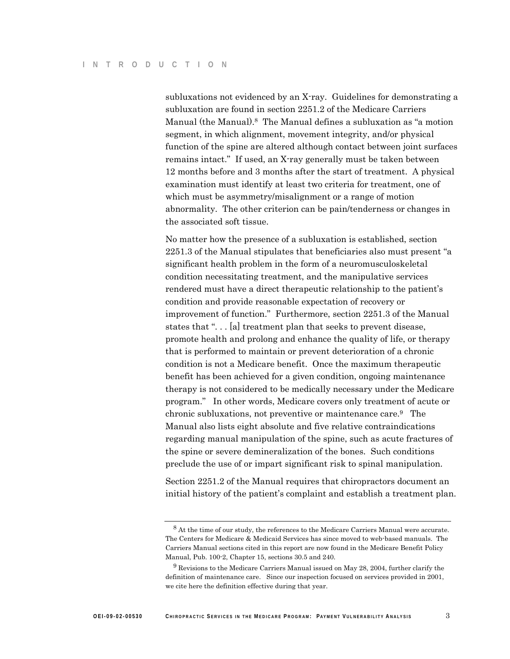subluxations not evidenced by an X-ray. Guidelines for demonstrating a subluxation are found in section 2251.2 of the Medicare Carriers Manual (the Manual).8 The Manual defines a subluxation as "a motion segment, in which alignment, movement integrity, and/or physical function of the spine are altered although contact between joint surfaces remains intact." If used, an X-ray generally must be taken between 12 months before and 3 months after the start of treatment. A physical examination must identify at least two criteria for treatment, one of which must be asymmetry/misalignment or a range of motion abnormality. The other criterion can be pain/tenderness or changes in the associated soft tissue.

No matter how the presence of a subluxation is established, section 2251.3 of the Manual stipulates that beneficiaries also must present "a significant health problem in the form of a neuromusculoskeletal condition necessitating treatment, and the manipulative services rendered must have a direct therapeutic relationship to the patient's condition and provide reasonable expectation of recovery or improvement of function." Furthermore, section 2251.3 of the Manual states that "... [a] treatment plan that seeks to prevent disease, promote health and prolong and enhance the quality of life, or therapy that is performed to maintain or prevent deterioration of a chronic condition is not a Medicare benefit. Once the maximum therapeutic benefit has been achieved for a given condition, ongoing maintenance therapy is not considered to be medically necessary under the Medicare program." In other words, Medicare covers only treatment of acute or chronic subluxations, not preventive or maintenance care.9 The Manual also lists eight absolute and five relative contraindications regarding manual manipulation of the spine, such as acute fractures of the spine or severe demineralization of the bones. Such conditions preclude the use of or impart significant risk to spinal manipulation.

Section 2251.2 of the Manual requires that chiropractors document an initial history of the patient's complaint and establish a treatment plan.

<sup>8</sup> At the time of our study, the references to the Medicare Carriers Manual were accurate. The Centers for Medicare & Medicaid Services has since moved to web-based manuals. The Carriers Manual sections cited in this report are now found in the Medicare Benefit Policy Manual, Pub. 100-2, Chapter 15, sections 30.5 and 240.

 $9$  Revisions to the Medicare Carriers Manual issued on May 28, 2004, further clarify the definition of maintenance care. Since our inspection focused on services provided in 2001, we cite here the definition effective during that year.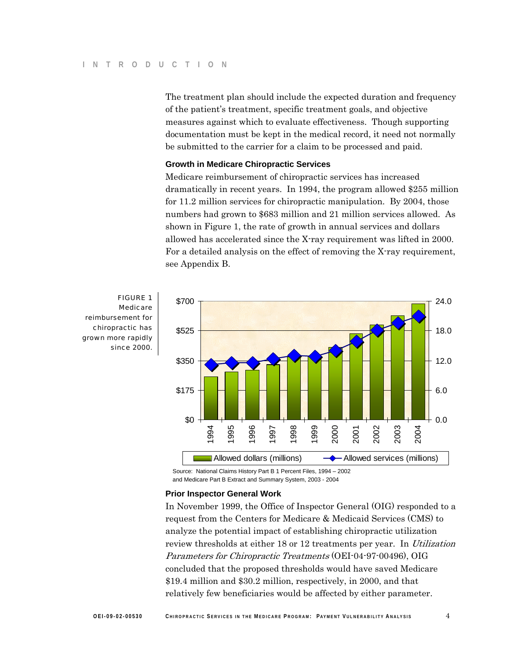The treatment plan should include the expected duration and frequency of the patient's treatment, specific treatment goals, and objective measures against which to evaluate effectiveness. Though supporting documentation must be kept in the medical record, it need not normally be submitted to the carrier for a claim to be processed and paid.

## **Growth in Medicare Chiropractic Services**

Medicare reimbursement of chiropractic services has increased dramatically in recent years. In 1994, the program allowed \$255 million for 11.2 million services for chiropractic manipulation. By 2004, those numbers had grown to \$683 million and 21 million services allowed. As shown in Figure 1, the rate of growth in annual services and dollars allowed has accelerated since the X-ray requirement was lifted in 2000. For a detailed analysis on the effect of removing the X-ray requirement, see Appendix B.



reimbursement for chiropractic has grown more rapidly

> Source: National Claims History Part B 1 Percent Files, 1994 – 2002 and Medicare Part B Extract and Summary System, 2003 - 2004

### **Prior Inspector General Work**

In November 1999, the Office of Inspector General (OIG) responded to a request from the Centers for Medicare & Medicaid Services (CMS) to analyze the potential impact of establishing chiropractic utilization review thresholds at either 18 or 12 treatments per year. In Utilization Parameters for Chiropractic Treatments (OEI-04-97-00496), OIG concluded that the proposed thresholds would have saved Medicare \$19.4 million and \$30.2 million, respectively, in 2000, and that relatively few beneficiaries would be affected by either parameter.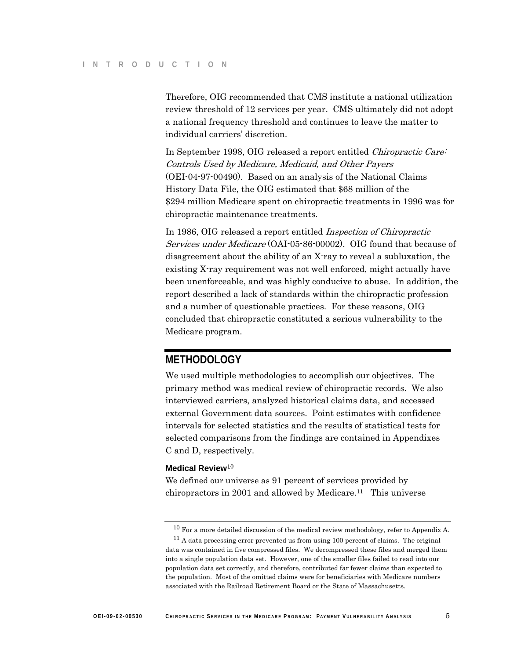Therefore, OIG recommended that CMS institute a national utilization review threshold of 12 services per year. CMS ultimately did not adopt a national frequency threshold and continues to leave the matter to individual carriers' discretion.

In September 1998, OIG released a report entitled *Chiropractic Care*: Controls Used by Medicare, Medicaid, and Other Payers (OEI-04-97-00490). Based on an analysis of the National Claims History Data File, the OIG estimated that \$68 million of the \$294 million Medicare spent on chiropractic treatments in 1996 was for chiropractic maintenance treatments.

In 1986, OIG released a report entitled *Inspection of Chiropractic* Services under Medicare (OAI-05-86-00002). OIG found that because of disagreement about the ability of an X-ray to reveal a subluxation, the existing X-ray requirement was not well enforced, might actually have been unenforceable, and was highly conducive to abuse. In addition, the report described a lack of standards within the chiropractic profession and a number of questionable practices. For these reasons, OIG concluded that chiropractic constituted a serious vulnerability to the Medicare program.

# **METHODOLOGY**

We used multiple methodologies to accomplish our objectives. The primary method was medical review of chiropractic records. We also interviewed carriers, analyzed historical claims data, and accessed external Government data sources. Point estimates with confidence intervals for selected statistics and the results of statistical tests for selected comparisons from the findings are contained in Appendixes C and D, respectively.

## **Medical Review**<sup>10</sup>

We defined our universe as 91 percent of services provided by chiropractors in 2001 and allowed by Medicare.<sup>11</sup> This universe

 $10$  For a more detailed discussion of the medical review methodology, refer to Appendix A.

 $11$  A data processing error prevented us from using 100 percent of claims. The original data was contained in five compressed files. We decompressed these files and merged them into a single population data set. However, one of the smaller files failed to read into our population data set correctly, and therefore, contributed far fewer claims than expected to the population. Most of the omitted claims were for beneficiaries with Medicare numbers associated with the Railroad Retirement Board or the State of Massachusetts.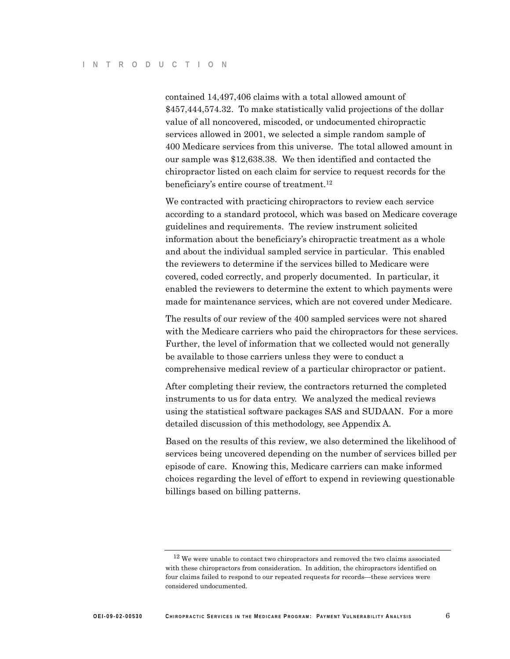contained 14,497,406 claims with a total allowed amount of \$457,444,574.32. To make statistically valid projections of the dollar value of all noncovered, miscoded, or undocumented chiropractic services allowed in 2001, we selected a simple random sample of 400 Medicare services from this universe. The total allowed amount in our sample was \$12,638.38. We then identified and contacted the chiropractor listed on each claim for service to request records for the beneficiary's entire course of treatment.12

We contracted with practicing chiropractors to review each service according to a standard protocol, which was based on Medicare coverage guidelines and requirements. The review instrument solicited information about the beneficiary's chiropractic treatment as a whole and about the individual sampled service in particular. This enabled the reviewers to determine if the services billed to Medicare were covered, coded correctly, and properly documented. In particular, it enabled the reviewers to determine the extent to which payments were made for maintenance services, which are not covered under Medicare.

The results of our review of the 400 sampled services were not shared with the Medicare carriers who paid the chiropractors for these services. Further, the level of information that we collected would not generally be available to those carriers unless they were to conduct a comprehensive medical review of a particular chiropractor or patient.

After completing their review, the contractors returned the completed instruments to us for data entry. We analyzed the medical reviews using the statistical software packages SAS and SUDAAN. For a more detailed discussion of this methodology, see Appendix A.

Based on the results of this review, we also determined the likelihood of services being uncovered depending on the number of services billed per episode of care. Knowing this, Medicare carriers can make informed choices regarding the level of effort to expend in reviewing questionable billings based on billing patterns.

<sup>&</sup>lt;sup>12</sup> We were unable to contact two chiropractors and removed the two claims associated with these chiropractors from consideration. In addition, the chiropractors identified on four claims failed to respond to our repeated requests for records—these services were considered undocumented.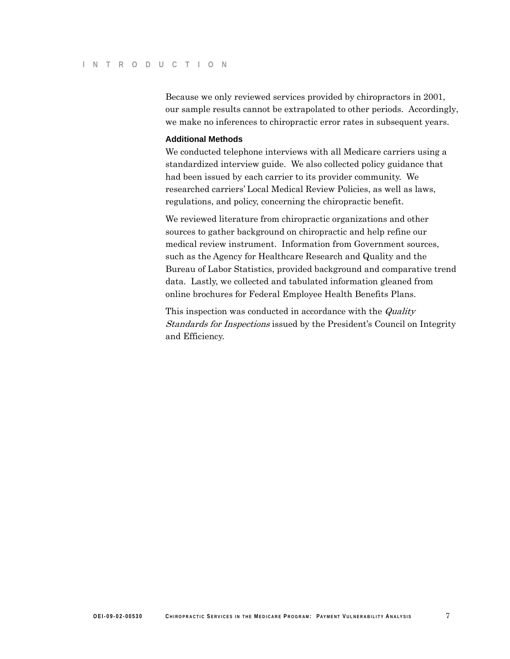Because we only reviewed services provided by chiropractors in 2001, our sample results cannot be extrapolated to other periods. Accordingly, we make no inferences to chiropractic error rates in subsequent years.

### **Additional Methods**

We conducted telephone interviews with all Medicare carriers using a standardized interview guide. We also collected policy guidance that had been issued by each carrier to its provider community. We researched carriers' Local Medical Review Policies, as well as laws, regulations, and policy, concerning the chiropractic benefit.

We reviewed literature from chiropractic organizations and other sources to gather background on chiropractic and help refine our medical review instrument. Information from Government sources, such as the Agency for Healthcare Research and Quality and the Bureau of Labor Statistics, provided background and comparative trend data. Lastly, we collected and tabulated information gleaned from online brochures for Federal Employee Health Benefits Plans.

This inspection was conducted in accordance with the *Quality* Standards for Inspections issued by the President's Council on Integrity and Efficiency.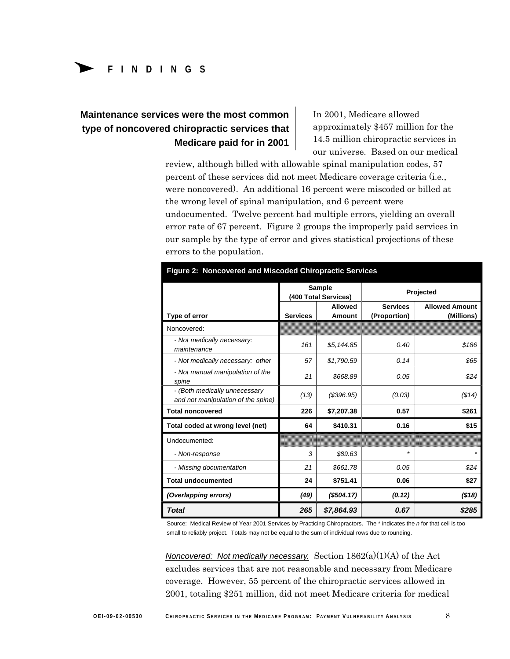# **Maintenance services were the most common** In 2001, Medicare allowed **type of noncovered chiropractic services that Medicare paid for in 2001**

approximately \$457 million for the 14.5 million chiropractic services in our universe. Based on our medical

review, although billed with allowable spinal manipulation codes, 57 percent of these services did not meet Medicare coverage criteria (i.e., were noncovered). An additional 16 percent were miscoded or billed at the wrong level of spinal manipulation, and 6 percent were undocumented. Twelve percent had multiple errors, yielding an overall error rate of 67 percent. Figure 2 groups the improperly paid services in our sample by the type of error and gives statistical projections of these errors to the population.

| Figure 2: Noncovered and Miscoded Chiropractic Services             |                                       |                                 |                                 |                                     |  |  |  |  |
|---------------------------------------------------------------------|---------------------------------------|---------------------------------|---------------------------------|-------------------------------------|--|--|--|--|
|                                                                     | <b>Sample</b><br>(400 Total Services) |                                 | Projected                       |                                     |  |  |  |  |
| Type of error                                                       | <b>Services</b>                       | <b>Allowed</b><br><b>Amount</b> | <b>Services</b><br>(Proportion) | <b>Allowed Amount</b><br>(Millions) |  |  |  |  |
| Noncovered:                                                         |                                       |                                 |                                 |                                     |  |  |  |  |
| - Not medically necessary:<br>maintenance                           | 161                                   | \$5,144.85                      | 0.40                            | \$186                               |  |  |  |  |
| - Not medically necessary: other                                    | 57                                    | \$1,790.59                      | 0.14                            | \$65                                |  |  |  |  |
| - Not manual manipulation of the<br>spine                           | 21                                    | \$668.89                        | 0.05                            | \$24                                |  |  |  |  |
| - (Both medically unnecessary<br>and not manipulation of the spine) | (13)                                  | $($ \$396.95 $)$                | (0.03)                          | ( \$14)                             |  |  |  |  |
| <b>Total noncovered</b>                                             | 226                                   | \$7,207.38                      | 0.57                            | \$261                               |  |  |  |  |
| Total coded at wrong level (net)                                    | 64                                    | \$410.31                        | 0.16                            | \$15                                |  |  |  |  |
| Undocumented:                                                       |                                       |                                 |                                 |                                     |  |  |  |  |
| - Non-response                                                      | 3                                     | \$89.63                         | $\star$                         | $\star$                             |  |  |  |  |
| - Missing documentation                                             | 21                                    | \$661.78                        | 0.05                            | \$24                                |  |  |  |  |
| <b>Total undocumented</b>                                           | 24                                    | \$751.41                        | 0.06                            | \$27                                |  |  |  |  |
| (Overlapping errors)                                                | (49)                                  | (\$504.17)                      | (0.12)                          | ( \$18)                             |  |  |  |  |
| Total                                                               | 265                                   | \$7,864.93                      | 0.67                            | \$285                               |  |  |  |  |

Source: Medical Review of Year 2001 Services by Practicing Chiropractors. The \* indicates the *n* for that cell is too small to reliably project. Totals may not be equal to the sum of individual rows due to rounding.

*Noncovered: Not medically necessary.* Section 1862(a)(1)(A) of the Act excludes services that are not reasonable and necessary from Medicare coverage. However, 55 percent of the chiropractic services allowed in 2001, totaling \$251 million, did not meet Medicare criteria for medical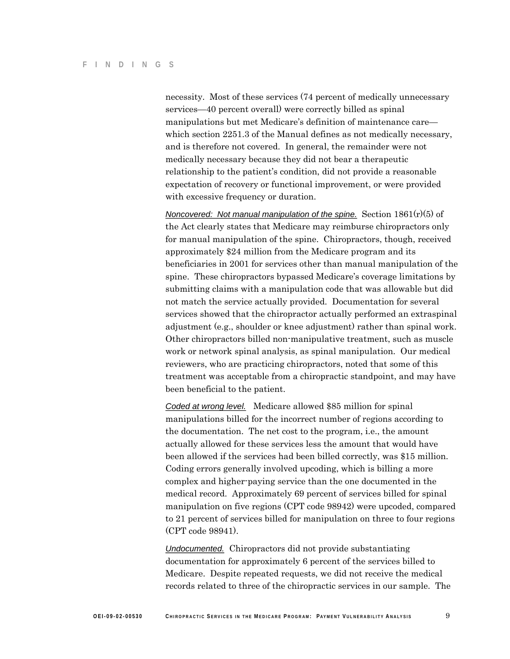necessity. Most of these services (74 percent of medically unnecessary services—40 percent overall) were correctly billed as spinal manipulations but met Medicare's definition of maintenance care which section 2251.3 of the Manual defines as not medically necessary, and is therefore not covered. In general, the remainder were not medically necessary because they did not bear a therapeutic relationship to the patient's condition, did not provide a reasonable expectation of recovery or functional improvement, or were provided with excessive frequency or duration.

*Noncovered: Not manual manipulation of the spine.* Section 1861(r)(5) of the Act clearly states that Medicare may reimburse chiropractors only for manual manipulation of the spine. Chiropractors, though, received approximately \$24 million from the Medicare program and its beneficiaries in 2001 for services other than manual manipulation of the spine. These chiropractors bypassed Medicare's coverage limitations by submitting claims with a manipulation code that was allowable but did not match the service actually provided. Documentation for several services showed that the chiropractor actually performed an extraspinal adjustment (e.g., shoulder or knee adjustment) rather than spinal work. Other chiropractors billed non-manipulative treatment, such as muscle work or network spinal analysis, as spinal manipulation. Our medical reviewers, who are practicing chiropractors, noted that some of this treatment was acceptable from a chiropractic standpoint, and may have been beneficial to the patient.

*Coded at wrong level.* Medicare allowed \$85 million for spinal manipulations billed for the incorrect number of regions according to the documentation. The net cost to the program, i.e., the amount actually allowed for these services less the amount that would have been allowed if the services had been billed correctly, was \$15 million. Coding errors generally involved upcoding, which is billing a more complex and higher-paying service than the one documented in the medical record. Approximately 69 percent of services billed for spinal manipulation on five regions (CPT code 98942) were upcoded, compared to 21 percent of services billed for manipulation on three to four regions (CPT code 98941).

*Undocumented.* Chiropractors did not provide substantiating documentation for approximately 6 percent of the services billed to Medicare. Despite repeated requests, we did not receive the medical records related to three of the chiropractic services in our sample. The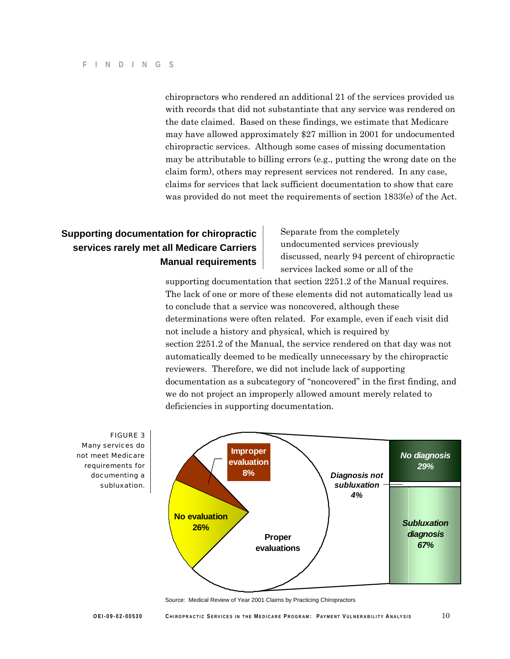chiropractors who rendered an additional 21 of the services provided us with records that did not substantiate that any service was rendered on the date claimed. Based on these findings, we estimate that Medicare may have allowed approximately \$27 million in 2001 for undocumented chiropractic services. Although some cases of missing documentation may be attributable to billing errors (e.g., putting the wrong date on the claim form), others may represent services not rendered. In any case, claims for services that lack sufficient documentation to show that care was provided do not meet the requirements of section 1833(e) of the Act.

# **Supporting documentation for chiropractic** Separate from the completely **services rarely met all Medicare Carriers undocumented services previously**

**Manual requirements** discussed, nearly 94 percent of chiropractic services lacked some or all of the

supporting documentation that section 2251.2 of the Manual requires. The lack of one or more of these elements did not automatically lead us to conclude that a service was noncovered, although these determinations were often related. For example, even if each visit did not include a history and physical, which is required by section 2251.2 of the Manual, the service rendered on that day was not automatically deemed to be medically unnecessary by the chiropractic reviewers. Therefore, we did not include lack of supporting documentation as a subcategory of "noncovered" in the first finding, and we do not project an improperly allowed amount merely related to deficiencies in supporting documentation.



Source: Medical Review of Year 2001 Claims by Practicing Chiropractors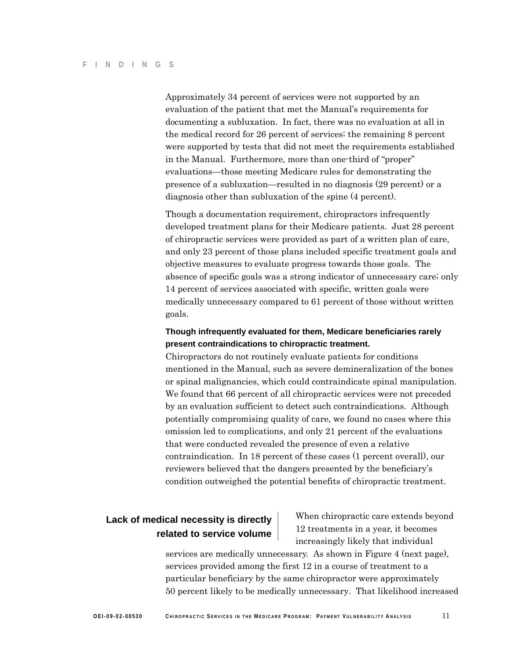Approximately 34 percent of services were not supported by an evaluation of the patient that met the Manual's requirements for documenting a subluxation. In fact, there was no evaluation at all in the medical record for 26 percent of services; the remaining 8 percent were supported by tests that did not meet the requirements established in the Manual. Furthermore, more than one-third of "proper" evaluations—those meeting Medicare rules for demonstrating the presence of a subluxation—resulted in no diagnosis (29 percent) or a diagnosis other than subluxation of the spine (4 percent).

Though a documentation requirement, chiropractors infrequently developed treatment plans for their Medicare patients. Just 28 percent of chiropractic services were provided as part of a written plan of care, and only 23 percent of those plans included specific treatment goals and objective measures to evaluate progress towards those goals. The absence of specific goals was a strong indicator of unnecessary care; only 14 percent of services associated with specific, written goals were medically unnecessary compared to 61 percent of those without written goals.

# **Though infrequently evaluated for them, Medicare beneficiaries rarely present contraindications to chiropractic treatment.**

Chiropractors do not routinely evaluate patients for conditions mentioned in the Manual, such as severe demineralization of the bones or spinal malignancies, which could contraindicate spinal manipulation. We found that 66 percent of all chiropractic services were not preceded by an evaluation sufficient to detect such contraindications. Although potentially compromising quality of care, we found no cases where this omission led to complications, and only 21 percent of the evaluations that were conducted revealed the presence of even a relative contraindication. In 18 percent of these cases (1 percent overall), our reviewers believed that the dangers presented by the beneficiary's condition outweighed the potential benefits of chiropractic treatment.

**Lack of medical necessity is directly** When chiropractic care extends beyond 12 treatments in a year, it becomes **related to service volume**  increasingly likely that individual

> services are medically unnecessary. As shown in Figure 4 (next page), services provided among the first 12 in a course of treatment to a particular beneficiary by the same chiropractor were approximately 50 percent likely to be medically unnecessary. That likelihood increased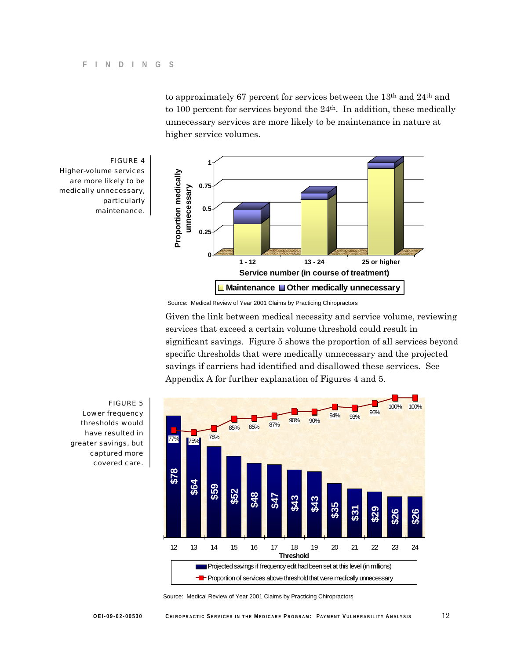to approximately 67 percent for services between the 13th and 24th and to 100 percent for services beyond the 24th. In addition, these medically unnecessary services are more likely to be maintenance in nature at higher service volumes.





Source: Medical Review of Year 2001 Claims by Practicing Chiropractors

Given the link between medical necessity and service volume, reviewing services that exceed a certain volume threshold could result in significant savings. Figure 5 shows the proportion of all services beyond specific thresholds that were medically unnecessary and the projected savings if carriers had identified and disallowed these services. See Appendix A for further explanation of Figures 4 and 5.



Lower frequency thresholds would have resulted in greater savings, but captured more covered care.

Source: Medical Review of Year 2001 Claims by Practicing Chiropractors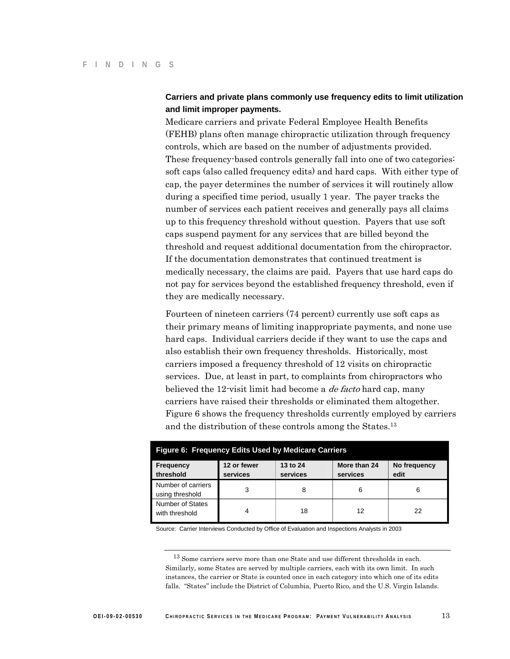# **Carriers and private plans commonly use frequency edits to limit utilization and limit improper payments.**

Medicare carriers and private Federal Employee Health Benefits (FEHB) plans often manage chiropractic utilization through frequency controls, which are based on the number of adjustments provided. These frequency-based controls generally fall into one of two categories: soft caps (also called frequency edits) and hard caps. With either type of cap, the payer determines the number of services it will routinely allow during a specified time period, usually 1 year. The payer tracks the number of services each patient receives and generally pays all claims up to this frequency threshold without question. Payers that use soft caps suspend payment for any services that are billed beyond the threshold and request additional documentation from the chiropractor. If the documentation demonstrates that continued treatment is medically necessary, the claims are paid. Payers that use hard caps do not pay for services beyond the established frequency threshold, even if they are medically necessary.

Fourteen of nineteen carriers (74 percent) currently use soft caps as their primary means of limiting inappropriate payments, and none use hard caps. Individual carriers decide if they want to use the caps and also establish their own frequency thresholds. Historically, most carriers imposed a frequency threshold of 12 visits on chiropractic services. Due, at least in part, to complaints from chiropractors who believed the 12-visit limit had become a *de facto* hard cap, many carriers have raised their thresholds or eliminated them altogether. Figure 6 shows the frequency thresholds currently employed by carriers and the distribution of these controls among the States.13

| <b>Figure 6: Frequency Edits Used by Medicare Carriers</b> |                         |                      |                          |                      |  |  |  |
|------------------------------------------------------------|-------------------------|----------------------|--------------------------|----------------------|--|--|--|
| <b>Frequency</b><br>threshold                              | 12 or fewer<br>services | 13 to 24<br>services | More than 24<br>services | No frequency<br>edit |  |  |  |
| Number of carriers<br>using threshold                      | 3                       | 8                    | 6                        |                      |  |  |  |
| Number of States<br>with threshold                         |                         | 18                   | 12                       | 22                   |  |  |  |

Source: Carrier Interviews Conducted by Office of Evaluation and Inspections Analysts in 2003

<sup>13</sup> Some carriers serve more than one State and use different thresholds in each. Similarly, some States are served by multiple carriers, each with its own limit. In such instances, the carrier or State is counted once in each category into which one of its edits falls. "States" include the District of Columbia, Puerto Rico, and the U.S. Virgin Islands.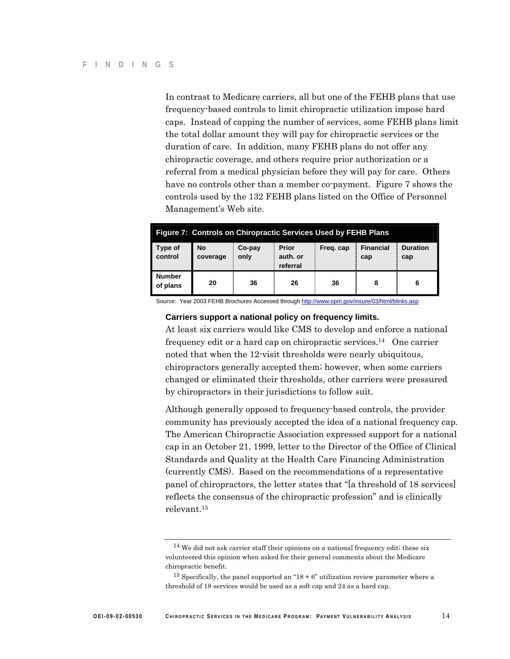In contrast to Medicare carriers, all but one of the FEHB plans that use frequency-based controls to limit chiropractic utilization impose hard caps. Instead of capping the number of services, some FEHB plans limit the total dollar amount they will pay for chiropractic services or the duration of care. In addition, many FEHB plans do not offer any chiropractic coverage, and others require prior authorization or a referral from a medical physician before they will pay for care. Others have no controls other than a member co-payment. Figure 7 shows the controls used by the 132 FEHB plans listed on the Office of Personnel Management's Web site.

| Figure 7: Controls on Chiropractic Services Used by FEHB Plans |                       |                |                                      |           |                         |                        |  |
|----------------------------------------------------------------|-----------------------|----------------|--------------------------------------|-----------|-------------------------|------------------------|--|
| Type of<br>control                                             | <b>No</b><br>coverage | Co-pay<br>only | <b>Prior</b><br>auth, or<br>referral | Freg. cap | <b>Financial</b><br>cap | <b>Duration</b><br>cap |  |
| <b>Number</b><br>of plans                                      | 20                    | 36             | 26                                   | 36        | 8                       |                        |  |

Source: Year 2003 FEHB Brochures Accessed through http://www.opm.gov/insure/03/html/blinks.asp

### **Carriers support a national policy on frequency limits.**

At least six carriers would like CMS to develop and enforce a national frequency edit or a hard cap on chiropractic services.14 One carrier noted that when the 12-visit thresholds were nearly ubiquitous, chiropractors generally accepted them; however, when some carriers changed or eliminated their thresholds, other carriers were pressured by chiropractors in their jurisdictions to follow suit.

Although generally opposed to frequency-based controls, the provider community has previously accepted the idea of a national frequency cap. The American Chiropractic Association expressed support for a national cap in an October 21, 1999, letter to the Director of the Office of Clinical Standards and Quality at the Health Care Financing Administration (currently CMS). Based on the recommendations of a representative panel of chiropractors, the letter states that "[a threshold of 18 services] reflects the consensus of the chiropractic profession" and is clinically relevant.15

 $14$  We did not ask carrier staff their opinions on a national frequency edit; these six volunteered this opinion when asked for their general comments about the Medicare chiropractic benefit.

 $15$  Specifically, the panel supported an " $18 + 6$ " utilization review parameter where a threshold of 18 services would be used as a soft cap and 24 as a hard cap.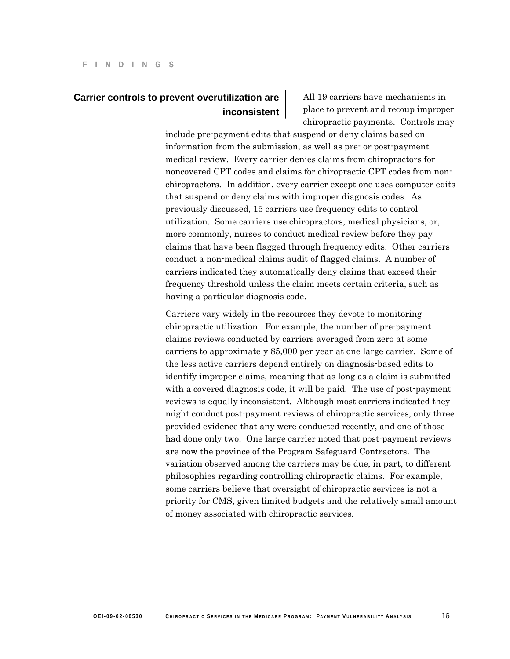# **Carrier controls to prevent overutilization are inconsistent**

All 19 carriers have mechanisms in place to prevent and recoup improper chiropractic payments. Controls may

include pre-payment edits that suspend or deny claims based on information from the submission, as well as pre- or post-payment medical review. Every carrier denies claims from chiropractors for noncovered CPT codes and claims for chiropractic CPT codes from nonchiropractors. In addition, every carrier except one uses computer edits that suspend or deny claims with improper diagnosis codes. As previously discussed, 15 carriers use frequency edits to control utilization. Some carriers use chiropractors, medical physicians, or, more commonly, nurses to conduct medical review before they pay claims that have been flagged through frequency edits. Other carriers conduct a non-medical claims audit of flagged claims. A number of carriers indicated they automatically deny claims that exceed their frequency threshold unless the claim meets certain criteria, such as having a particular diagnosis code.

Carriers vary widely in the resources they devote to monitoring chiropractic utilization. For example, the number of pre-payment claims reviews conducted by carriers averaged from zero at some carriers to approximately 85,000 per year at one large carrier. Some of the less active carriers depend entirely on diagnosis-based edits to identify improper claims, meaning that as long as a claim is submitted with a covered diagnosis code, it will be paid. The use of post-payment reviews is equally inconsistent. Although most carriers indicated they might conduct post-payment reviews of chiropractic services, only three provided evidence that any were conducted recently, and one of those had done only two. One large carrier noted that post-payment reviews are now the province of the Program Safeguard Contractors. The variation observed among the carriers may be due, in part, to different philosophies regarding controlling chiropractic claims. For example, some carriers believe that oversight of chiropractic services is not a priority for CMS, given limited budgets and the relatively small amount of money associated with chiropractic services.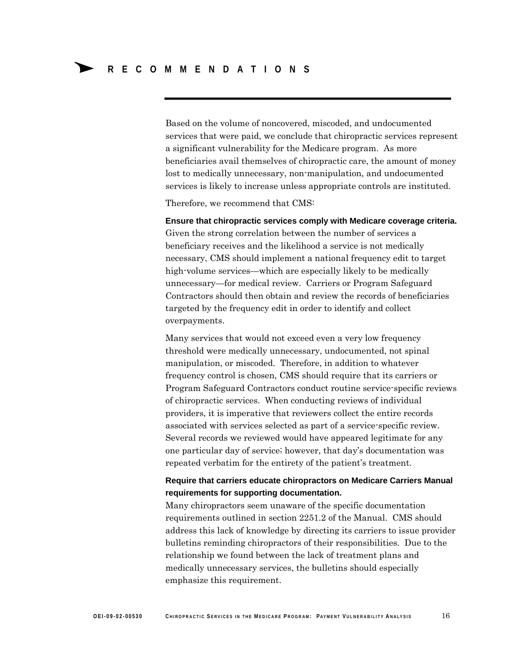Based on the volume of noncovered, miscoded, and undocumented services that were paid, we conclude that chiropractic services represent a significant vulnerability for the Medicare program. As more beneficiaries avail themselves of chiropractic care, the amount of money lost to medically unnecessary, non-manipulation, and undocumented services is likely to increase unless appropriate controls are instituted.

Therefore, we recommend that CMS:

**Ensure that chiropractic services comply with Medicare coverage criteria.**  Given the strong correlation between the number of services a beneficiary receives and the likelihood a service is not medically necessary, CMS should implement a national frequency edit to target high-volume services—which are especially likely to be medically unnecessary—for medical review. Carriers or Program Safeguard Contractors should then obtain and review the records of beneficiaries targeted by the frequency edit in order to identify and collect overpayments.

Many services that would not exceed even a very low frequency threshold were medically unnecessary, undocumented, not spinal manipulation, or miscoded. Therefore, in addition to whatever frequency control is chosen, CMS should require that its carriers or Program Safeguard Contractors conduct routine service-specific reviews of chiropractic services. When conducting reviews of individual providers, it is imperative that reviewers collect the entire records associated with services selected as part of a service-specific review. Several records we reviewed would have appeared legitimate for any one particular day of service; however, that day's documentation was repeated verbatim for the entirety of the patient's treatment.

# **Require that carriers educate chiropractors on Medicare Carriers Manual requirements for supporting documentation.**

Many chiropractors seem unaware of the specific documentation requirements outlined in section 2251.2 of the Manual. CMS should address this lack of knowledge by directing its carriers to issue provider bulletins reminding chiropractors of their responsibilities. Due to the relationship we found between the lack of treatment plans and medically unnecessary services, the bulletins should especially emphasize this requirement.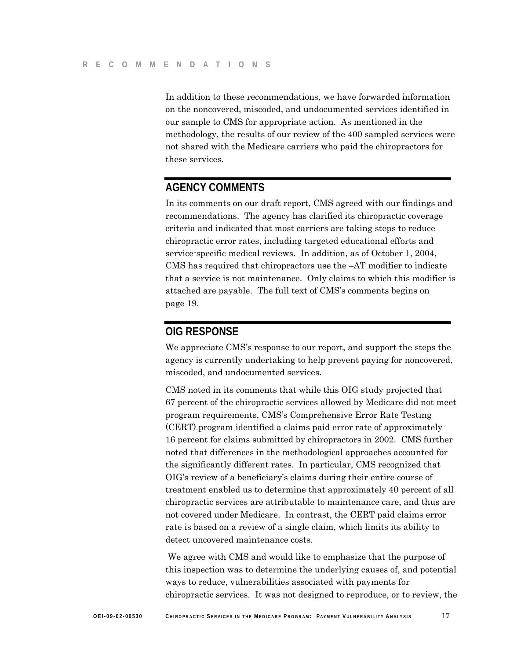In addition to these recommendations, we have forwarded information on the noncovered, miscoded, and undocumented services identified in our sample to CMS for appropriate action. As mentioned in the methodology, the results of our review of the 400 sampled services were not shared with the Medicare carriers who paid the chiropractors for these services.

# **AGENCY COMMENTS**

In its comments on our draft report, CMS agreed with our findings and recommendations. The agency has clarified its chiropractic coverage criteria and indicated that most carriers are taking steps to reduce chiropractic error rates, including targeted educational efforts and service-specific medical reviews. In addition, as of October 1, 2004, CMS has required that chiropractors use the –AT modifier to indicate that a service is not maintenance. Only claims to which this modifier is attached are payable. The full text of CMS's comments begins on page 19.

# **OIG RESPONSE**

We appreciate CMS's response to our report, and support the steps the agency is currently undertaking to help prevent paying for noncovered, miscoded, and undocumented services.

CMS noted in its comments that while this OIG study projected that 67 percent of the chiropractic services allowed by Medicare did not meet program requirements, CMS's Comprehensive Error Rate Testing (CERT) program identified a claims paid error rate of approximately 16 percent for claims submitted by chiropractors in 2002. CMS further noted that differences in the methodological approaches accounted for the significantly different rates. In particular, CMS recognized that OIG's review of a beneficiary's claims during their entire course of treatment enabled us to determine that approximately 40 percent of all chiropractic services are attributable to maintenance care, and thus are not covered under Medicare. In contrast, the CERT paid claims error rate is based on a review of a single claim, which limits its ability to detect uncovered maintenance costs.

 We agree with CMS and would like to emphasize that the purpose of this inspection was to determine the underlying causes of, and potential ways to reduce, vulnerabilities associated with payments for chiropractic services. It was not designed to reproduce, or to review, the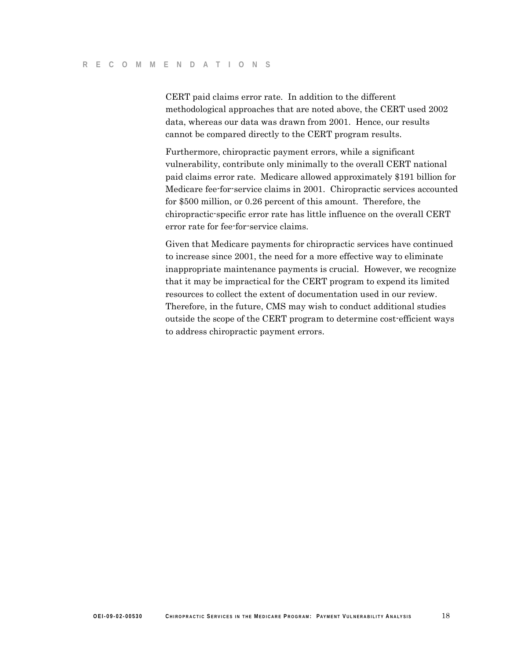CERT paid claims error rate. In addition to the different methodological approaches that are noted above, the CERT used 2002 data, whereas our data was drawn from 2001. Hence, our results cannot be compared directly to the CERT program results.

Furthermore, chiropractic payment errors, while a significant vulnerability, contribute only minimally to the overall CERT national paid claims error rate. Medicare allowed approximately \$191 billion for Medicare fee-for-service claims in 2001. Chiropractic services accounted for \$500 million, or 0.26 percent of this amount. Therefore, the chiropractic-specific error rate has little influence on the overall CERT error rate for fee-for-service claims.

Given that Medicare payments for chiropractic services have continued to increase since 2001, the need for a more effective way to eliminate inappropriate maintenance payments is crucial. However, we recognize that it may be impractical for the CERT program to expend its limited resources to collect the extent of documentation used in our review. Therefore, in the future, CMS may wish to conduct additional studies outside the scope of the CERT program to determine cost-efficient ways to address chiropractic payment errors.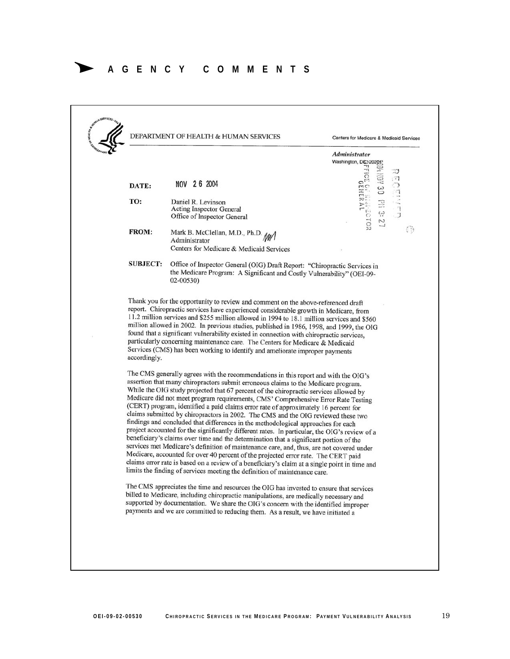# ∆ **AGENCY COMMENTS**

|                 |                                                                                                                                                                                                                                                                                                                                                                                                                                                                                                                                                                                                                                                                                                                                                                                                  | Administrator                                                                     |
|-----------------|--------------------------------------------------------------------------------------------------------------------------------------------------------------------------------------------------------------------------------------------------------------------------------------------------------------------------------------------------------------------------------------------------------------------------------------------------------------------------------------------------------------------------------------------------------------------------------------------------------------------------------------------------------------------------------------------------------------------------------------------------------------------------------------------------|-----------------------------------------------------------------------------------|
|                 |                                                                                                                                                                                                                                                                                                                                                                                                                                                                                                                                                                                                                                                                                                                                                                                                  | Washington, DC 20201<br>$\sim$                                                    |
| DATE:           | NOV 26 2004                                                                                                                                                                                                                                                                                                                                                                                                                                                                                                                                                                                                                                                                                                                                                                                      | <b>MHBV 90 PM 33 2</b><br>TCE 07 MANDER AL                                        |
| TO:             | Daniel R. Levinson<br>Acting Inspector General                                                                                                                                                                                                                                                                                                                                                                                                                                                                                                                                                                                                                                                                                                                                                   |                                                                                   |
|                 | Office of Inspector General                                                                                                                                                                                                                                                                                                                                                                                                                                                                                                                                                                                                                                                                                                                                                                      |                                                                                   |
| <b>FROM:</b>    | Mark B. McClellan, M.D., Ph.D. M<br>Administrator                                                                                                                                                                                                                                                                                                                                                                                                                                                                                                                                                                                                                                                                                                                                                | $\odot$                                                                           |
|                 | Centers for Medicare & Medicaid Services                                                                                                                                                                                                                                                                                                                                                                                                                                                                                                                                                                                                                                                                                                                                                         |                                                                                   |
| <b>SUBJECT:</b> | Office of Inspector General (OIG) Draft Report: "Chiropractic Services in<br>the Medicare Program: A Significant and Costly Vulnerability" (OEI-09-<br>02-00530)                                                                                                                                                                                                                                                                                                                                                                                                                                                                                                                                                                                                                                 |                                                                                   |
| accordingly.    | found that a significant vulnerability existed in connection with chiropractic services,<br>particularly concerning maintenance care. The Centers for Medicare & Medicaid<br>Services (CMS) has been working to identify and ameliorate improper payments<br>The CMS generally agrees with the recommendations in this report and with the OIG's<br>assertion that many chiropractors submit erroneous claims to the Medicare program.<br>While the OIG study projected that 67 percent of the chiropractic services allowed by<br>Medicare did not meet program requirements, CMS' Comprehensive Error Rate Testing<br>(CERT) program, identified a paid claims error rate of approximately 16 percent for<br>claims submitted by chiropractors in 2002. The CMS and the OIG reviewed these two | findings and concluded that differences in the methodological approaches for each |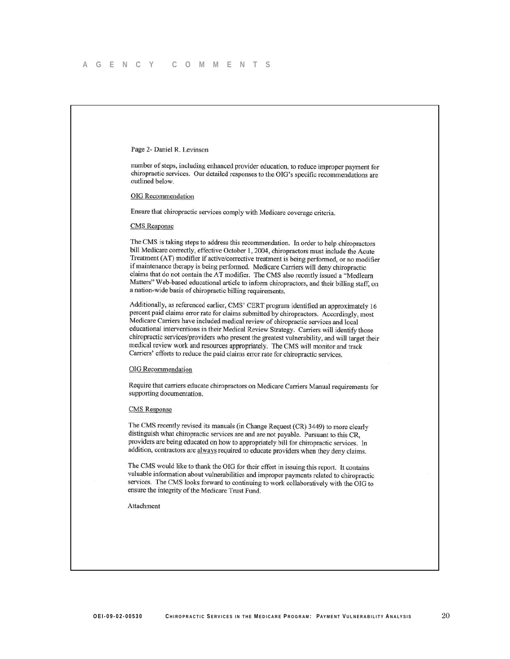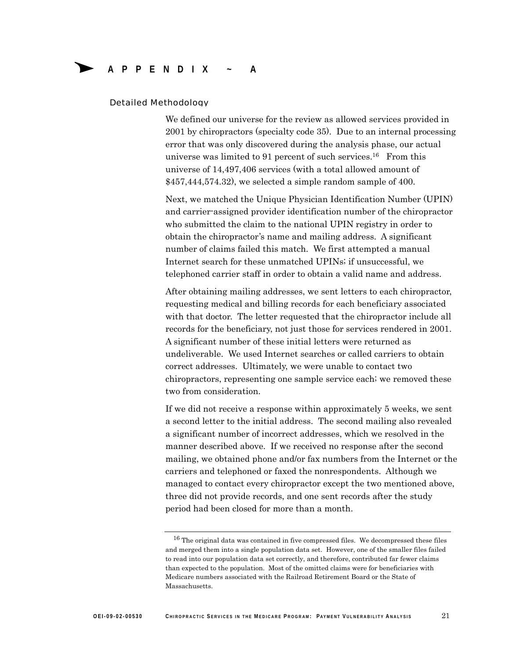### Detailed Methodology

We defined our universe for the review as allowed services provided in 2001 by chiropractors (specialty code 35). Due to an internal processing error that was only discovered during the analysis phase, our actual universe was limited to 91 percent of such services.16 From this universe of 14,497,406 services (with a total allowed amount of \$457,444,574.32), we selected a simple random sample of 400.

Next, we matched the Unique Physician Identification Number (UPIN) and carrier-assigned provider identification number of the chiropractor who submitted the claim to the national UPIN registry in order to obtain the chiropractor's name and mailing address. A significant number of claims failed this match. We first attempted a manual Internet search for these unmatched UPINs; if unsuccessful, we telephoned carrier staff in order to obtain a valid name and address.

After obtaining mailing addresses, we sent letters to each chiropractor, requesting medical and billing records for each beneficiary associated with that doctor. The letter requested that the chiropractor include all records for the beneficiary, not just those for services rendered in 2001. A significant number of these initial letters were returned as undeliverable. We used Internet searches or called carriers to obtain correct addresses. Ultimately, we were unable to contact two chiropractors, representing one sample service each; we removed these two from consideration.

If we did not receive a response within approximately 5 weeks, we sent a second letter to the initial address. The second mailing also revealed a significant number of incorrect addresses, which we resolved in the manner described above. If we received no response after the second mailing, we obtained phone and/or fax numbers from the Internet or the carriers and telephoned or faxed the nonrespondents. Although we managed to contact every chiropractor except the two mentioned above, three did not provide records, and one sent records after the study period had been closed for more than a month.

<sup>&</sup>lt;sup>16</sup> The original data was contained in five compressed files. We decompressed these files and merged them into a single population data set. However, one of the smaller files failed to read into our population data set correctly, and therefore, contributed far fewer claims than expected to the population. Most of the omitted claims were for beneficiaries with Medicare numbers associated with the Railroad Retirement Board or the State of Massachusetts.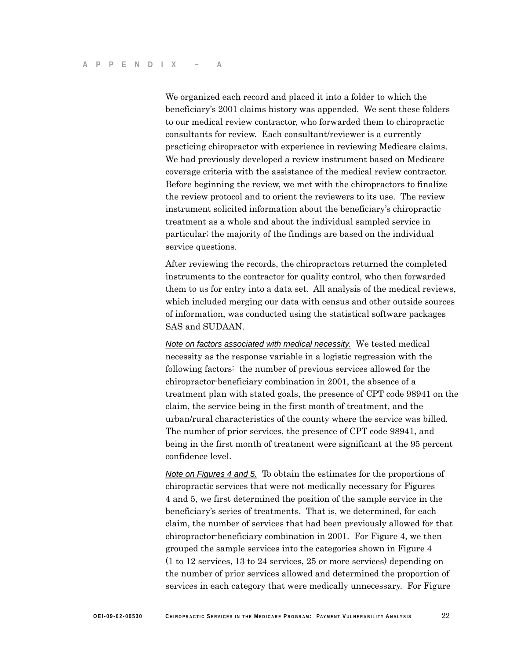We organized each record and placed it into a folder to which the beneficiary's 2001 claims history was appended. We sent these folders to our medical review contractor, who forwarded them to chiropractic consultants for review. Each consultant/reviewer is a currently practicing chiropractor with experience in reviewing Medicare claims. We had previously developed a review instrument based on Medicare coverage criteria with the assistance of the medical review contractor. Before beginning the review, we met with the chiropractors to finalize the review protocol and to orient the reviewers to its use. The review instrument solicited information about the beneficiary's chiropractic treatment as a whole and about the individual sampled service in particular; the majority of the findings are based on the individual service questions.

After reviewing the records, the chiropractors returned the completed instruments to the contractor for quality control, who then forwarded them to us for entry into a data set. All analysis of the medical reviews, which included merging our data with census and other outside sources of information, was conducted using the statistical software packages SAS and SUDAAN.

*Note on factors associated with medical necessity.* We tested medical necessity as the response variable in a logistic regression with the following factors: the number of previous services allowed for the chiropractor-beneficiary combination in 2001, the absence of a treatment plan with stated goals, the presence of CPT code 98941 on the claim, the service being in the first month of treatment, and the urban/rural characteristics of the county where the service was billed. The number of prior services, the presence of CPT code 98941, and being in the first month of treatment were significant at the 95 percent confidence level.

*Note on Figures 4 and 5.* To obtain the estimates for the proportions of chiropractic services that were not medically necessary for Figures 4 and 5, we first determined the position of the sample service in the beneficiary's series of treatments. That is, we determined, for each claim, the number of services that had been previously allowed for that chiropractor-beneficiary combination in 2001. For Figure 4, we then grouped the sample services into the categories shown in Figure 4 (1 to 12 services, 13 to 24 services, 25 or more services) depending on the number of prior services allowed and determined the proportion of services in each category that were medically unnecessary. For Figure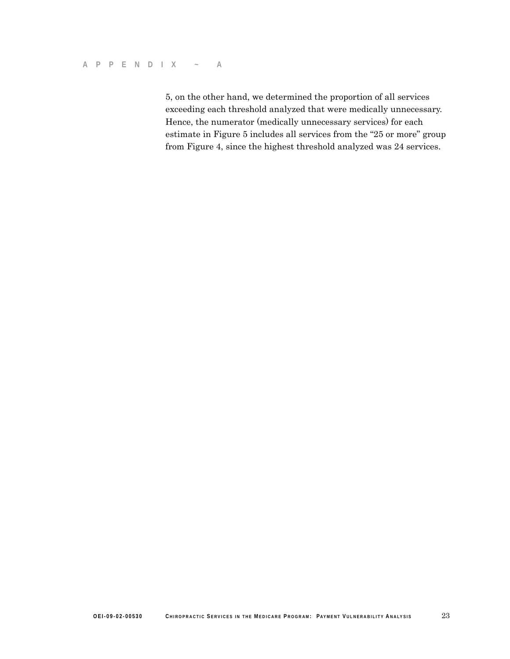5, on the other hand, we determined the proportion of all services exceeding each threshold analyzed that were medically unnecessary. Hence, the numerator (medically unnecessary services) for each estimate in Figure 5 includes all services from the "25 or more" group from Figure 4, since the highest threshold analyzed was 24 services.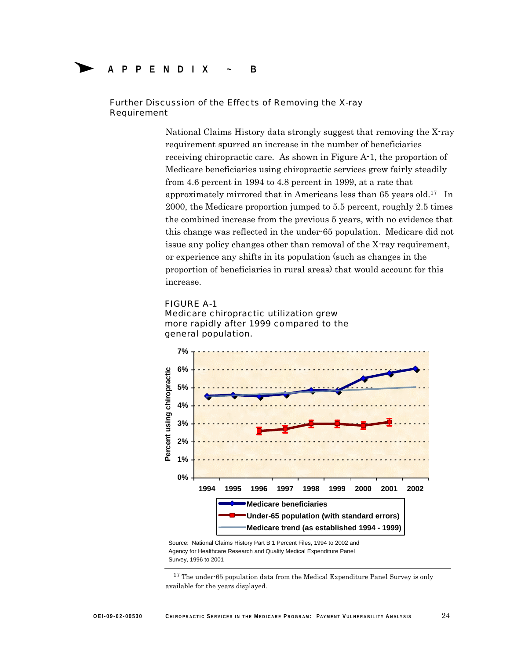# ∆ **APPENDIX ~ B**

## Further Discussion of the Effects of Removing the X-ray Requirement

National Claims History data strongly suggest that removing the X-ray requirement spurred an increase in the number of beneficiaries receiving chiropractic care. As shown in Figure A-1, the proportion of Medicare beneficiaries using chiropractic services grew fairly steadily from 4.6 percent in 1994 to 4.8 percent in 1999, at a rate that approximately mirrored that in Americans less than 65 years old.17 In 2000, the Medicare proportion jumped to 5.5 percent, roughly 2.5 times the combined increase from the previous 5 years, with no evidence that this change was reflected in the under-65 population. Medicare did not issue any policy changes other than removal of the X-ray requirement, or experience any shifts in its population (such as changes in the proportion of beneficiaries in rural areas) that would account for this increase.

### FIGURE A-1





Source: National Claims History Part B 1 Percent Files, 1994 to 2002 and Agency for Healthcare Research and Quality Medical Expenditure Panel Survey, 1996 to 2001

 $17$  The under-65 population data from the Medical Expenditure Panel Survey is only available for the years displayed.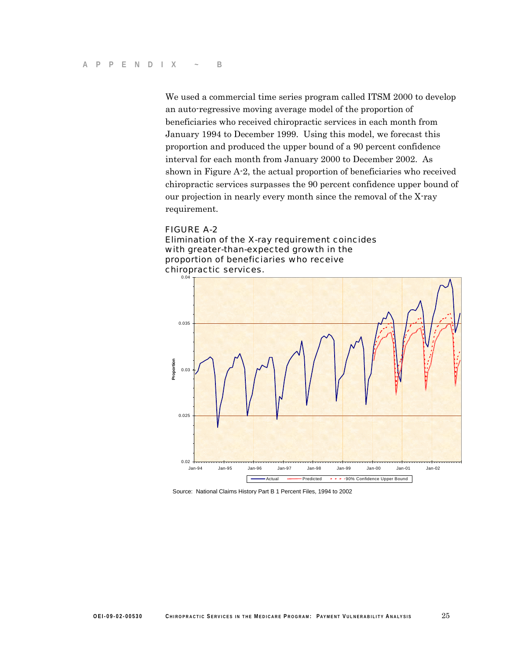We used a commercial time series program called ITSM 2000 to develop an auto-regressive moving average model of the proportion of beneficiaries who received chiropractic services in each month from January 1994 to December 1999. Using this model, we forecast this proportion and produced the upper bound of a 90 percent confidence interval for each month from January 2000 to December 2002. As shown in Figure A-2, the actual proportion of beneficiaries who received chiropractic services surpasses the 90 percent confidence upper bound of our projection in nearly every month since the removal of the X-ray requirement.

## FIGURE A-2

Elimination of the X-ray requirement coincides with greater-than-expected growth in the proportion of beneficiaries who receive chiropractic services.



Source: National Claims History Part B 1 Percent Files, 1994 to 2002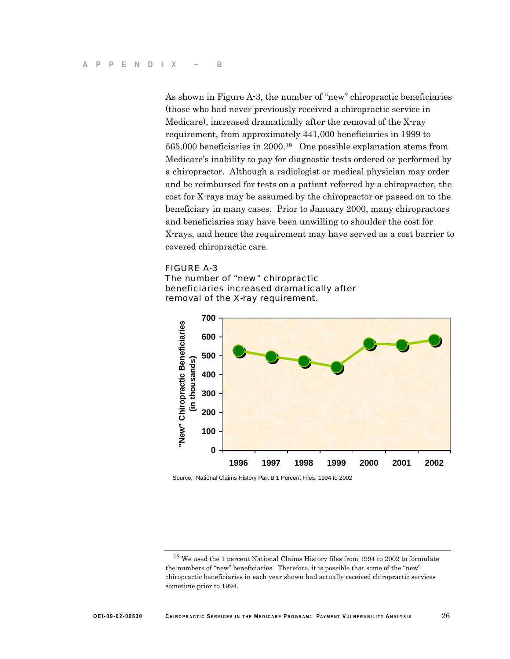As shown in Figure A-3, the number of "new" chiropractic beneficiaries (those who had never previously received a chiropractic service in Medicare), increased dramatically after the removal of the X-ray requirement, from approximately 441,000 beneficiaries in 1999 to 565,000 beneficiaries in 2000.18 One possible explanation stems from Medicare's inability to pay for diagnostic tests ordered or performed by a chiropractor. Although a radiologist or medical physician may order and be reimbursed for tests on a patient referred by a chiropractor, the cost for X-rays may be assumed by the chiropractor or passed on to the beneficiary in many cases. Prior to January 2000, many chiropractors and beneficiaries may have been unwilling to shoulder the cost for X-rays, and hence the requirement may have served as a cost barrier to covered chiropractic care.

### FIGURE A-3





Source: National Claims History Part B 1 Percent Files, 1994 to 2002

<sup>18</sup> We used the 1 percent National Claims History files from 1994 to 2002 to formulate the numbers of "new" beneficiaries. Therefore, it is possible that some of the "new" chiropractic beneficiaries in each year shown had actually received chiropractic services sometime prior to 1994.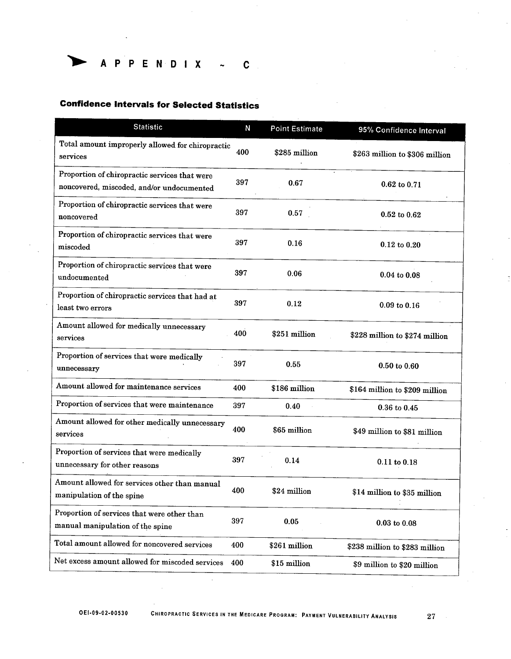$\begin{array}{ccccccccccccccccccl} A & P & P & E & N & D & I & X & & \sim & C \end{array}$ 

# **Confidence Intervals for Selected Statistics**

| <b>Statistic</b>                                                                           | N   | <b>Point Estimate</b> | 95% Confidence Interval        |
|--------------------------------------------------------------------------------------------|-----|-----------------------|--------------------------------|
| Total amount improperly allowed for chiropractic<br>services                               | 400 | \$285 million         | \$263 million to \$306 million |
| Proportion of chiropractic services that were<br>noncovered, miscoded, and/or undocumented | 397 | 0.67                  | 0.62 to 0.71                   |
| Proportion of chiropractic services that were<br>noncovered                                | 397 | 0.57                  | $0.52$ to $0.62$               |
| Proportion of chiropractic services that were<br>miscoded                                  | 397 | 0.16                  | $0.12$ to $0.20$               |
| Proportion of chiropractic services that were<br>undocumented                              | 397 | 0.06                  | $0.04$ to $0.08$               |
| Proportion of chiropractic services that had at<br>least two errors                        | 397 | 0.12                  | $0.09$ to $0.16$               |
| Amount allowed for medically unnecessary<br>services                                       | 400 | \$251 million         | \$228 million to \$274 million |
| Proportion of services that were medically<br>unnecessary                                  | 397 | 0.55                  | $0.50 \text{ to } 0.60$        |
| Amount allowed for maintenance services                                                    | 400 | \$186 million         | \$164 million to \$209 million |
| Proportion of services that were maintenance                                               | 397 | 0.40                  | $0.36$ to $0.45$               |
| Amount allowed for other medically unnecessary<br>services                                 | 400 | \$65 million          | \$49 million to \$81 million   |
| Proportion of services that were medically<br>unnecessary for other reasons                | 397 | 0.14                  | $0.11$ to $0.18$               |
| Amount allowed for services other than manual<br>manipulation of the spine                 | 400 | \$24 million          | \$14 million to \$35 million   |
| Proportion of services that were other than<br>manual manipulation of the spine            | 397 | 0.05                  | $0.03$ to $0.08$               |
| Total amount allowed for noncovered services                                               | 400 | \$261 million         | \$238 million to \$283 million |
| Net excess amount allowed for miscoded services                                            | 400 | \$15 million          | \$9 million to \$20 million    |

OEI-09-02-00530

 $\sim$ 

27

 $\mathcal{L}$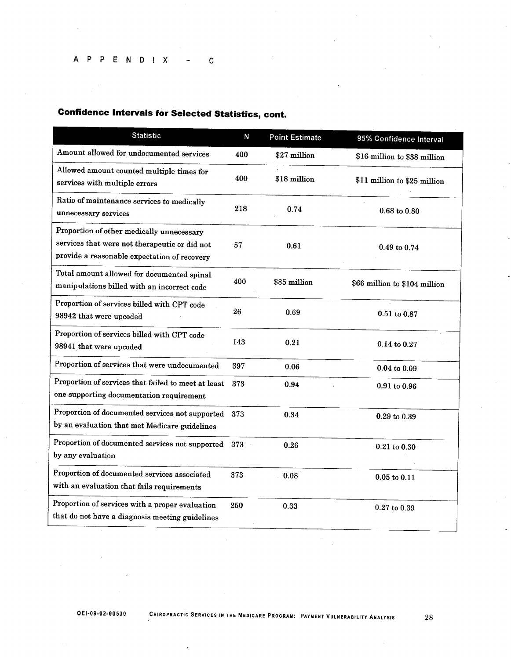### A P P E N D I X  $\mathbf{C}$  $\sim$

# **Confidence Intervals for Selected Statistics, cont.**

| <b>Statistic</b>                                                                                                                           | N   | <b>Point Estimate</b> | 95% Confidence Interval       |
|--------------------------------------------------------------------------------------------------------------------------------------------|-----|-----------------------|-------------------------------|
| Amount allowed for undocumented services                                                                                                   | 400 | \$27 million          | \$16 million to \$38 million  |
| Allowed amount counted multiple times for<br>services with multiple errors                                                                 | 400 | \$18 million          | \$11 million to \$25 million  |
| Ratio of maintenance services to medically<br>unnecessary services                                                                         | 218 | 0.74                  | $0.68$ to $0.80$              |
| Proportion of other medically unnecessary<br>services that were not therapeutic or did not<br>provide a reasonable expectation of recovery | 57  | 0.61                  | $0.49$ to $0.74$              |
| Total amount allowed for documented spinal<br>manipulations billed with an incorrect code                                                  | 400 | \$85 million          | \$66 million to \$104 million |
| Proportion of services billed with CPT code<br>98942 that were upcoded                                                                     | 26  | 0.69                  | 0.51 to 0.87                  |
| Proportion of services billed with CPT code<br>98941 that were upcoded                                                                     | 143 | 0.21                  | 0.14 to 0.27                  |
| Proportion of services that were undocumented                                                                                              | 397 | 0.06                  | $0.04$ to $0.09$              |
| Proportion of services that failed to meet at least<br>one supporting documentation requirement                                            | 373 | 0.94                  | $0.91$ to $0.96$              |
| Proportion of documented services not supported<br>by an evaluation that met Medicare guidelines                                           | 373 | 0.34                  | $0.29$ to $0.39$              |
| Proportion of documented services not supported<br>by any evaluation                                                                       | 373 | 0.26                  | 0.21 to 0.30                  |
| Proportion of documented services associated<br>with an evaluation that fails requirements                                                 | 373 | 0.08                  | $0.05$ to $0.11$              |
| Proportion of services with a proper evaluation<br>that do not have a diagnosis meeting guidelines                                         | 250 | 0.33                  | $0.27$ to $0.39$              |

28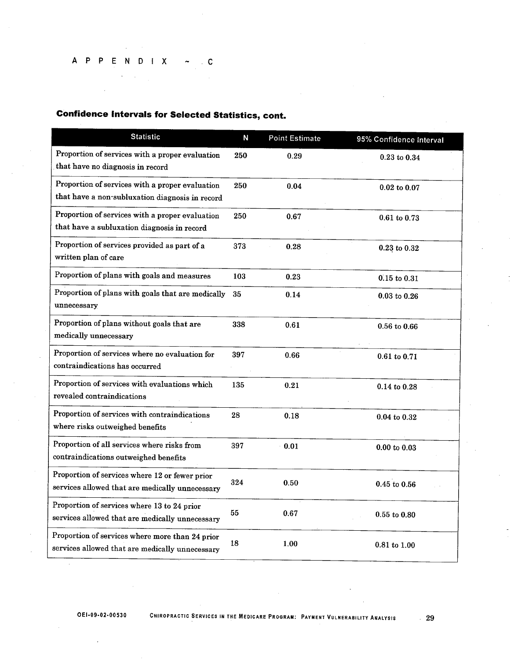# A P P E N D I X  $\sim$  . C

 $\Delta$ 

# **Confidence Intervals for Selected Statistics, cont.**

| <b>Statistic</b>                                                                                   | N   | <b>Point Estimate</b> | 95% Confidence Interval |
|----------------------------------------------------------------------------------------------------|-----|-----------------------|-------------------------|
| Proportion of services with a proper evaluation<br>that have no diagnosis in record                | 250 | 0.29                  | $0.23$ to $0.34$        |
| Proportion of services with a proper evaluation<br>that have a non-subluxation diagnosis in record | 250 | 0.04                  | $0.02$ to $0.07$        |
| Proportion of services with a proper evaluation<br>that have a subluxation diagnosis in record     | 250 | 0.67                  | 0.61 to 0.73            |
| Proportion of services provided as part of a<br>written plan of care                               | 373 | 0.28                  | 0.23 to 0.32            |
| Proportion of plans with goals and measures                                                        | 103 | 0.23                  | $0.15$ to $0.31$        |
| Proportion of plans with goals that are medically<br>unnecessary                                   | 35  | 0.14                  | $0.03$ to $0.26$        |
| Proportion of plans without goals that are<br>medically unnecessary                                | 338 | 0.61                  | $0.56$ to $0.66$        |
| Proportion of services where no evaluation for<br>contraindications has occurred                   | 397 | 0.66                  | 0.61 to 0.71            |
| Proportion of services with evaluations which<br>revealed contraindications                        | 135 | 0.21                  | 0.14 to 0.28            |
| Proportion of services with contraindications<br>where risks outweighed benefits                   | 28  | 0.18                  | $0.04$ to $0.32$        |
| Proportion of all services where risks from<br>contraindications outweighed benefits               | 397 | 0.01                  | $0.00$ to $0.03$        |
| Proportion of services where 12 or fewer prior<br>services allowed that are medically unnecessary  | 324 | 0.50                  | $0.45$ to $0.56$        |
| Proportion of services where 13 to 24 prior<br>services allowed that are medically unnecessary     | 55  | 0.67                  | 0.55 to 0.80            |
| Proportion of services where more than 24 prior<br>services allowed that are medically unnecessary | 18  | 1.00                  | 0.81 to 1.00            |

 $\sim 29$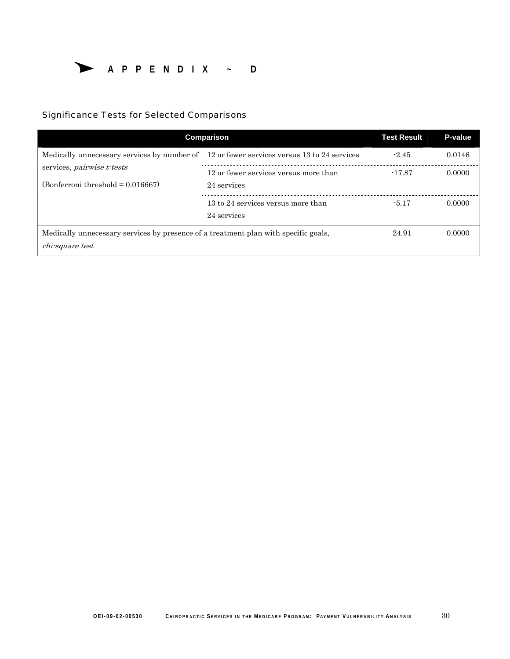

# Significance Tests for Selected Comparisons

| Comparison                                                                                | <b>Test Result</b>                    | P-value  |        |
|-------------------------------------------------------------------------------------------|---------------------------------------|----------|--------|
| Medically unnecessary services by number of 12 or fewer services versus 13 to 24 services |                                       | $-2.45$  | 0.0146 |
| services, <i>pairwise</i> t-tests                                                         | 12 or fewer services versus more than | $-17.87$ | 0.0000 |
| $(Bonferroni threshold = 0.016667)$                                                       | 24 services                           |          |        |
|                                                                                           | 13 to 24 services versus more than    | $-5.17$  | 0.0000 |
|                                                                                           | 24 services                           |          |        |
| Medically unnecessary services by presence of a treatment plan with specific goals,       | 24.91                                 | 0.0000   |        |
| chi-square test                                                                           |                                       |          |        |